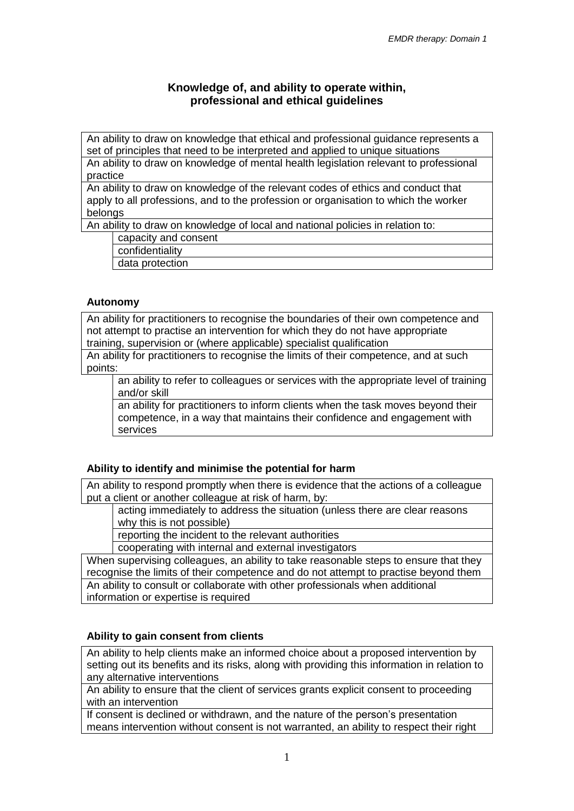# **Knowledge of, and ability to operate within, professional and ethical guidelines**

An ability to draw on knowledge that ethical and professional guidance represents a set of principles that need to be interpreted and applied to unique situations An ability to draw on knowledge of mental health legislation relevant to professional practice

An ability to draw on knowledge of the relevant codes of ethics and conduct that apply to all professions, and to the profession or organisation to which the worker belongs

An ability to draw on knowledge of local and national policies in relation to:

capacity and consent

confidentiality

data protection

#### **Autonomy**

An ability for practitioners to recognise the boundaries of their own competence and not attempt to practise an intervention for which they do not have appropriate training, supervision or (where applicable) specialist qualification

An ability for practitioners to recognise the limits of their competence, and at such points:

an ability to refer to colleagues or services with the appropriate level of training and/or skill

an ability for practitioners to inform clients when the task moves beyond their competence, in a way that maintains their confidence and engagement with services

#### **Ability to identify and minimise the potential for harm**

An ability to respond promptly when there is evidence that the actions of a colleague put a client or another colleague at risk of harm, by:

acting immediately to address the situation (unless there are clear reasons why this is not possible)

reporting the incident to the relevant authorities

cooperating with internal and external investigators

When supervising colleagues, an ability to take reasonable steps to ensure that they recognise the limits of their competence and do not attempt to practise beyond them An ability to consult or collaborate with other professionals when additional information or expertise is required

#### **Ability to gain consent from clients**

An ability to help clients make an informed choice about a proposed intervention by setting out its benefits and its risks, along with providing this information in relation to any alternative interventions

An ability to ensure that the client of services grants explicit consent to proceeding with an intervention

If consent is declined or withdrawn, and the nature of the person's presentation means intervention without consent is not warranted, an ability to respect their right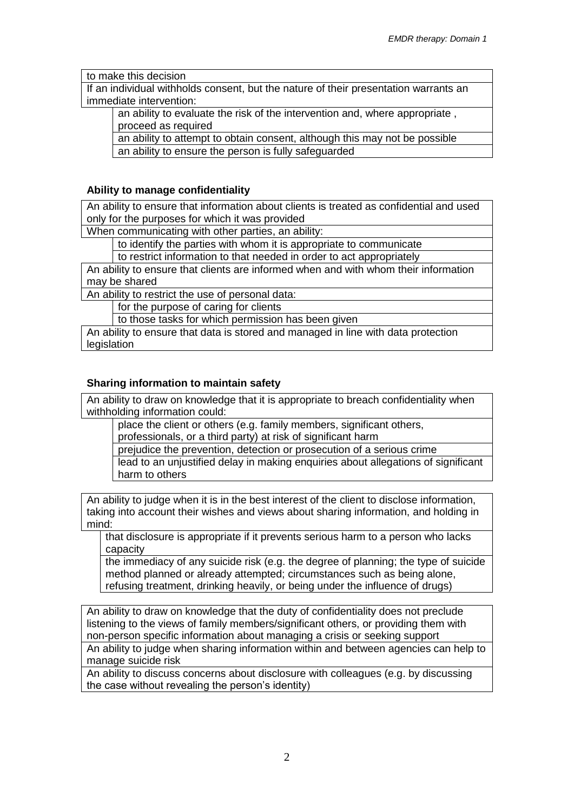to make this decision

If an individual withholds consent, but the nature of their presentation warrants an immediate intervention:

an ability to evaluate the risk of the intervention and, where appropriate , proceed as required

an ability to attempt to obtain consent, although this may not be possible an ability to ensure the person is fully safeguarded

#### **Ability to manage confidentiality**

An ability to ensure that information about clients is treated as confidential and used only for the purposes for which it was provided

When communicating with other parties, an ability:

to identify the parties with whom it is appropriate to communicate

to restrict information to that needed in order to act appropriately

An ability to ensure that clients are informed when and with whom their information may be shared

An ability to restrict the use of personal data:

for the purpose of caring for clients

to those tasks for which permission has been given

An ability to ensure that data is stored and managed in line with data protection legislation

#### **Sharing information to maintain safety**

An ability to draw on knowledge that it is appropriate to breach confidentiality when withholding information could:

place the client or others (e.g. family members, significant others, professionals, or a third party) at risk of significant harm

prejudice the prevention, detection or prosecution of a serious crime lead to an unjustified delay in making enquiries about allegations of significant harm to others

An ability to judge when it is in the best interest of the client to disclose information, taking into account their wishes and views about sharing information, and holding in mind:

that disclosure is appropriate if it prevents serious harm to a person who lacks capacity

the immediacy of any suicide risk (e.g. the degree of planning; the type of suicide method planned or already attempted; circumstances such as being alone, refusing treatment, drinking heavily, or being under the influence of drugs)

An ability to draw on knowledge that the duty of confidentiality does not preclude listening to the views of family members/significant others, or providing them with non-person specific information about managing a crisis or seeking support

An ability to judge when sharing information within and between agencies can help to manage suicide risk

An ability to discuss concerns about disclosure with colleagues (e.g. by discussing the case without revealing the person's identity)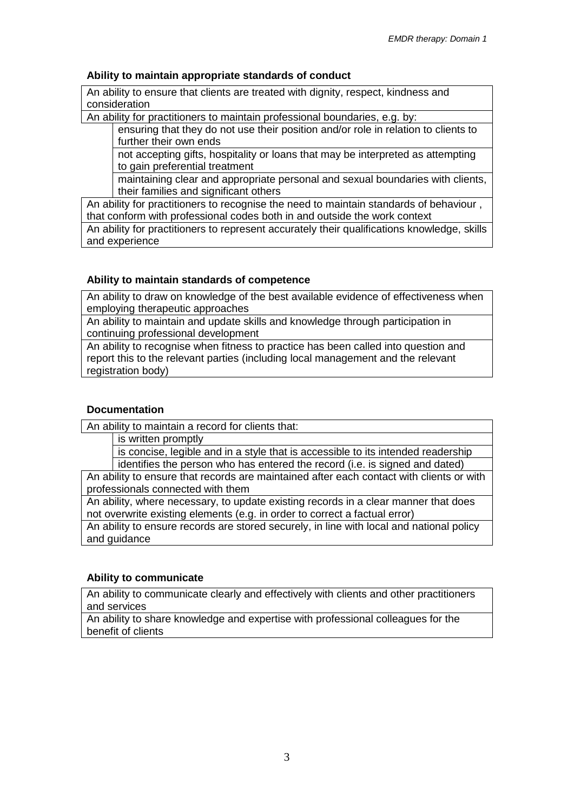### **Ability to maintain appropriate standards of conduct**

An ability to ensure that clients are treated with dignity, respect, kindness and consideration

An ability for practitioners to maintain professional boundaries, e.g. by:

ensuring that they do not use their position and/or role in relation to clients to further their own ends

not accepting gifts, hospitality or loans that may be interpreted as attempting to gain preferential treatment

maintaining clear and appropriate personal and sexual boundaries with clients, their families and significant others

An ability for practitioners to recognise the need to maintain standards of behaviour , that conform with professional codes both in and outside the work context An ability for practitioners to represent accurately their qualifications knowledge, skills and experience

#### **Ability to maintain standards of competence**

An ability to draw on knowledge of the best available evidence of effectiveness when employing therapeutic approaches

An ability to maintain and update skills and knowledge through participation in continuing professional development

An ability to recognise when fitness to practice has been called into question and report this to the relevant parties (including local management and the relevant registration body)

#### **Documentation**

An ability to maintain a record for clients that:

is written promptly

is concise, legible and in a style that is accessible to its intended readership

identifies the person who has entered the record (i.e. is signed and dated) An ability to ensure that records are maintained after each contact with clients or with professionals connected with them

An ability, where necessary, to update existing records in a clear manner that does not overwrite existing elements (e.g. in order to correct a factual error)

An ability to ensure records are stored securely, in line with local and national policy and guidance

#### **Ability to communicate**

An ability to communicate clearly and effectively with clients and other practitioners and services

An ability to share knowledge and expertise with professional colleagues for the benefit of clients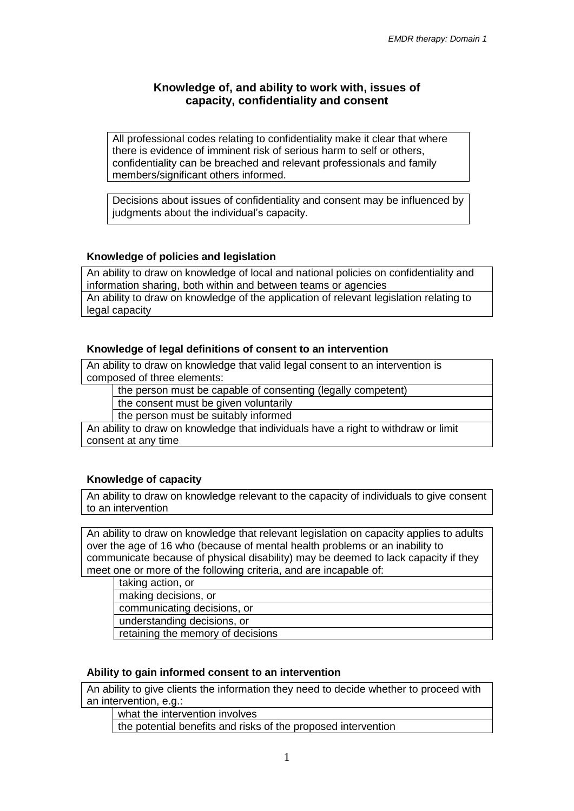# **Knowledge of, and ability to work with, issues of capacity, confidentiality and consent**

All professional codes relating to confidentiality make it clear that where there is evidence of imminent risk of serious harm to self or others, confidentiality can be breached and relevant professionals and family members/significant others informed.

Decisions about issues of confidentiality and consent may be influenced by judgments about the individual's capacity.

# **Knowledge of policies and legislation**

An ability to draw on knowledge of local and national policies on confidentiality and information sharing, both within and between teams or agencies An ability to draw on knowledge of the application of relevant legislation relating to legal capacity

#### **Knowledge of legal definitions of consent to an intervention**

An ability to draw on knowledge that valid legal consent to an intervention is composed of three elements:

the person must be capable of consenting (legally competent)

the consent must be given voluntarily

the person must be suitably informed

An ability to draw on knowledge that individuals have a right to withdraw or limit consent at any time

#### **Knowledge of capacity**

An ability to draw on knowledge relevant to the capacity of individuals to give consent to an intervention

An ability to draw on knowledge that relevant legislation on capacity applies to adults over the age of 16 who (because of mental health problems or an inability to communicate because of physical disability) may be deemed to lack capacity if they meet one or more of the following criteria, and are incapable of:

taking action, or

making decisions, or

communicating decisions, or

understanding decisions, or

retaining the memory of decisions

#### **Ability to gain informed consent to an intervention**

An ability to give clients the information they need to decide whether to proceed with an intervention, e.g.:

what the intervention involves

the potential benefits and risks of the proposed intervention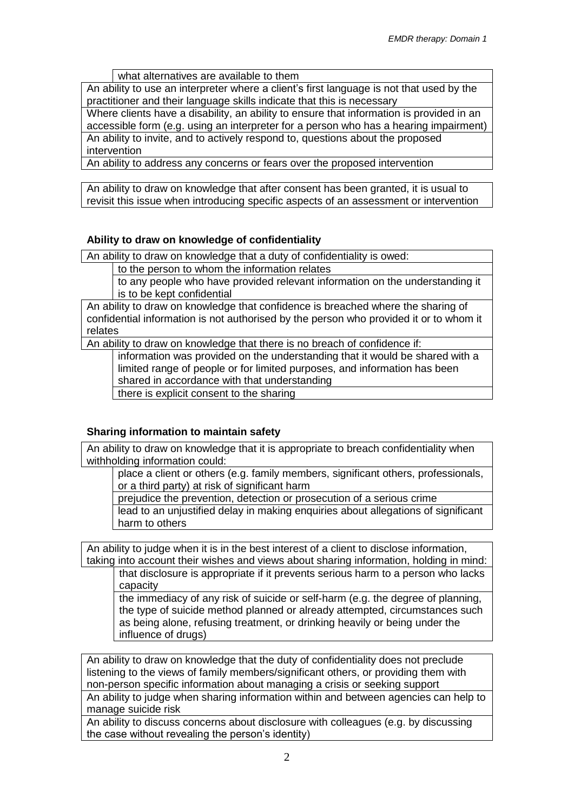what alternatives are available to them

An ability to use an interpreter where a client's first language is not that used by the practitioner and their language skills indicate that this is necessary

Where clients have a disability, an ability to ensure that information is provided in an accessible form (e.g. using an interpreter for a person who has a hearing impairment) An ability to invite, and to actively respond to, questions about the proposed intervention

An ability to address any concerns or fears over the proposed intervention

An ability to draw on knowledge that after consent has been granted, it is usual to revisit this issue when introducing specific aspects of an assessment or intervention

# **Ability to draw on knowledge of confidentiality**

An ability to draw on knowledge that a duty of confidentiality is owed:

to the person to whom the information relates

to any people who have provided relevant information on the understanding it is to be kept confidential

An ability to draw on knowledge that confidence is breached where the sharing of confidential information is not authorised by the person who provided it or to whom it relates

An ability to draw on knowledge that there is no breach of confidence if:

information was provided on the understanding that it would be shared with a limited range of people or for limited purposes, and information has been shared in accordance with that understanding

there is explicit consent to the sharing

#### **Sharing information to maintain safety**

An ability to draw on knowledge that it is appropriate to breach confidentiality when withholding information could:

place a client or others (e.g. family members, significant others, professionals, or a third party) at risk of significant harm

prejudice the prevention, detection or prosecution of a serious crime

lead to an unjustified delay in making enquiries about allegations of significant harm to others

An ability to judge when it is in the best interest of a client to disclose information, taking into account their wishes and views about sharing information, holding in mind:

that disclosure is appropriate if it prevents serious harm to a person who lacks capacity

the immediacy of any risk of suicide or self-harm (e.g. the degree of planning, the type of suicide method planned or already attempted, circumstances such as being alone, refusing treatment, or drinking heavily or being under the influence of drugs)

An ability to draw on knowledge that the duty of confidentiality does not preclude listening to the views of family members/significant others, or providing them with non-person specific information about managing a crisis or seeking support

An ability to judge when sharing information within and between agencies can help to manage suicide risk

An ability to discuss concerns about disclosure with colleagues (e.g. by discussing the case without revealing the person's identity)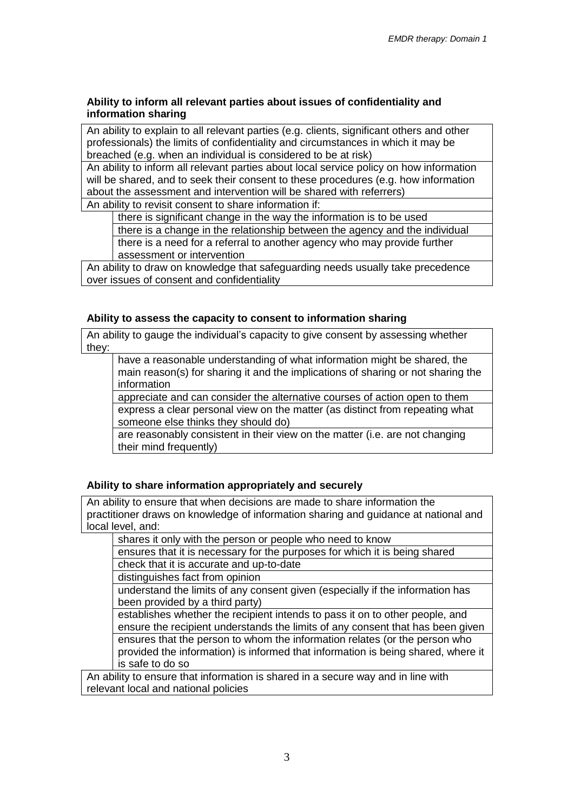#### **Ability to inform all relevant parties about issues of confidentiality and information sharing**

An ability to explain to all relevant parties (e.g. clients, significant others and other professionals) the limits of confidentiality and circumstances in which it may be breached (e.g. when an individual is considered to be at risk)

An ability to inform all relevant parties about local service policy on how information will be shared, and to seek their consent to these procedures (e.g. how information about the assessment and intervention will be shared with referrers)

An ability to revisit consent to share information if:

there is significant change in the way the information is to be used

there is a change in the relationship between the agency and the individual

there is a need for a referral to another agency who may provide further assessment or intervention

An ability to draw on knowledge that safeguarding needs usually take precedence over issues of consent and confidentiality

#### **Ability to assess the capacity to consent to information sharing**

An ability to gauge the individual's capacity to give consent by assessing whether they:

have a reasonable understanding of what information might be shared, the main reason(s) for sharing it and the implications of sharing or not sharing the information

appreciate and can consider the alternative courses of action open to them express a clear personal view on the matter (as distinct from repeating what someone else thinks they should do)

are reasonably consistent in their view on the matter (i.e. are not changing their mind frequently)

#### **Ability to share information appropriately and securely**

An ability to ensure that when decisions are made to share information the practitioner draws on knowledge of information sharing and guidance at national and local level, and:

shares it only with the person or people who need to know

ensures that it is necessary for the purposes for which it is being shared check that it is accurate and up-to-date

distinguishes fact from opinion

understand the limits of any consent given (especially if the information has been provided by a third party)

establishes whether the recipient intends to pass it on to other people, and ensure the recipient understands the limits of any consent that has been given ensures that the person to whom the information relates (or the person who provided the information) is informed that information is being shared, where it is safe to do so

An ability to ensure that information is shared in a secure way and in line with relevant local and national policies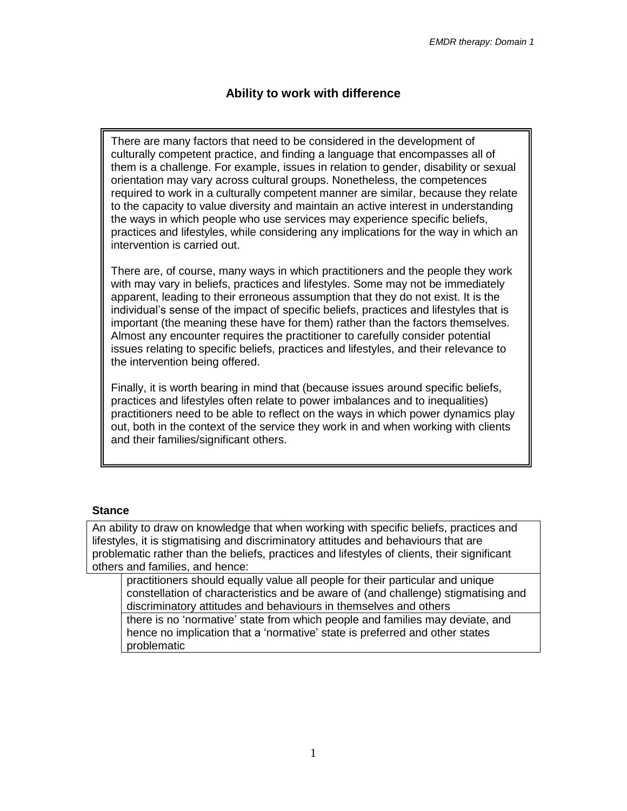# **Ability to work with difference**

There are many factors that need to be considered in the development of culturally competent practice, and finding a language that encompasses all of them is a challenge. For example, issues in relation to gender, disability or sexual orientation may vary across cultural groups. Nonetheless, the competences required to work in a culturally competent manner are similar, because they relate to the capacity to value diversity and maintain an active interest in understanding the ways in which people who use services may experience specific beliefs, practices and lifestyles, while considering any implications for the way in which an intervention is carried out.

There are, of course, many ways in which practitioners and the people they work with may vary in beliefs, practices and lifestyles. Some may not be immediately apparent, leading to their erroneous assumption that they do not exist. It is the individual's sense of the impact of specific beliefs, practices and lifestyles that is important (the meaning these have for them) rather than the factors themselves. Almost any encounter requires the practitioner to carefully consider potential issues relating to specific beliefs, practices and lifestyles, and their relevance to the intervention being offered.

Finally, it is worth bearing in mind that (because issues around specific beliefs, practices and lifestyles often relate to power imbalances and to inequalities) practitioners need to be able to reflect on the ways in which power dynamics play out, both in the context of the service they work in and when working with clients and their families/significant others.

#### **Stance**

An ability to draw on knowledge that when working with specific beliefs, practices and lifestyles, it is stigmatising and discriminatory attitudes and behaviours that are problematic rather than the beliefs, practices and lifestyles of clients, their significant others and families, and hence:

practitioners should equally value all people for their particular and unique constellation of characteristics and be aware of (and challenge) stigmatising and discriminatory attitudes and behaviours in themselves and others

there is no 'normative' state from which people and families may deviate, and hence no implication that a 'normative' state is preferred and other states problematic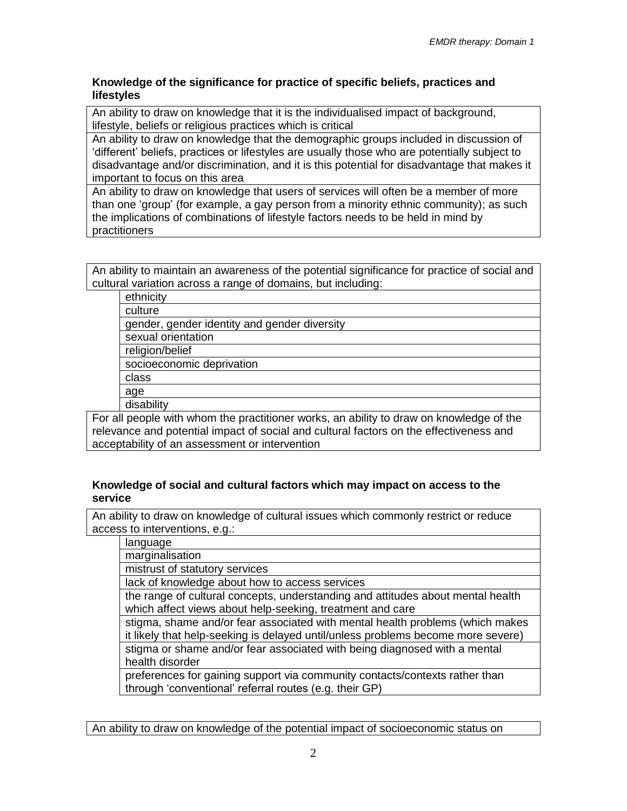#### **Knowledge of the significance for practice of specific beliefs, practices and lifestyles**

An ability to draw on knowledge that it is the individualised impact of background, lifestyle, beliefs or religious practices which is critical

An ability to draw on knowledge that the demographic groups included in discussion of 'different' beliefs, practices or lifestyles are usually those who are potentially subject to disadvantage and/or discrimination, and it is this potential for disadvantage that makes it important to focus on this area

An ability to draw on knowledge that users of services will often be a member of more than one 'group' (for example, a gay person from a minority ethnic community); as such the implications of combinations of lifestyle factors needs to be held in mind by practitioners

An ability to maintain an awareness of the potential significance for practice of social and cultural variation across a range of domains, but including:

|                                                                                                                                                                                   | ethnicity                                    |
|-----------------------------------------------------------------------------------------------------------------------------------------------------------------------------------|----------------------------------------------|
|                                                                                                                                                                                   | culture                                      |
|                                                                                                                                                                                   | gender, gender identity and gender diversity |
|                                                                                                                                                                                   | sexual orientation                           |
|                                                                                                                                                                                   | religion/belief                              |
|                                                                                                                                                                                   | socioeconomic deprivation                    |
|                                                                                                                                                                                   | class                                        |
|                                                                                                                                                                                   | age                                          |
|                                                                                                                                                                                   | disability                                   |
| For all people with whom the practitioner works, an ability to draw on knowledge of the<br>relevance and potential impact of social and cultural factors on the effectiveness and |                                              |

acceptability of an assessment or intervention

#### **Knowledge of social and cultural factors which may impact on access to the service**

An ability to draw on knowledge of cultural issues which commonly restrict or reduce access to interventions, e.g.:

language

marginalisation

mistrust of statutory services

lack of knowledge about how to access services

the range of cultural concepts, understanding and attitudes about mental health which affect views about help-seeking, treatment and care

stigma, shame and/or fear associated with mental health problems (which makes it likely that help-seeking is delayed until/unless problems become more severe) stigma or shame and/or fear associated with being diagnosed with a mental health disorder

preferences for gaining support via community contacts/contexts rather than through 'conventional' referral routes (e.g. their GP)

An ability to draw on knowledge of the potential impact of socioeconomic status on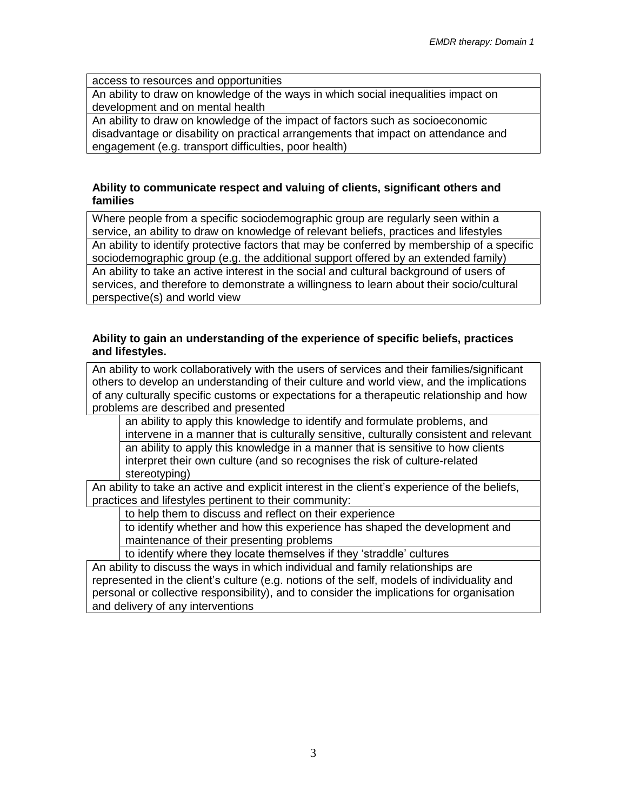access to resources and opportunities

An ability to draw on knowledge of the ways in which social inequalities impact on development and on mental health

An ability to draw on knowledge of the impact of factors such as socioeconomic disadvantage or disability on practical arrangements that impact on attendance and engagement (e.g. transport difficulties, poor health)

#### **Ability to communicate respect and valuing of clients, significant others and families**

Where people from a specific sociodemographic group are regularly seen within a service, an ability to draw on knowledge of relevant beliefs, practices and lifestyles An ability to identify protective factors that may be conferred by membership of a specific sociodemographic group (e.g. the additional support offered by an extended family) An ability to take an active interest in the social and cultural background of users of services, and therefore to demonstrate a willingness to learn about their socio/cultural perspective(s) and world view

#### **Ability to gain an understanding of the experience of specific beliefs, practices and lifestyles.**

An ability to work collaboratively with the users of services and their families/significant others to develop an understanding of their culture and world view, and the implications of any culturally specific customs or expectations for a therapeutic relationship and how problems are described and presented

an ability to apply this knowledge to identify and formulate problems, and intervene in a manner that is culturally sensitive, culturally consistent and relevant an ability to apply this knowledge in a manner that is sensitive to how clients interpret their own culture (and so recognises the risk of culture-related stereotyping)

An ability to take an active and explicit interest in the client's experience of the beliefs, practices and lifestyles pertinent to their community:

to help them to discuss and reflect on their experience

to identify whether and how this experience has shaped the development and maintenance of their presenting problems

to identify where they locate themselves if they 'straddle' cultures

An ability to discuss the ways in which individual and family relationships are represented in the client's culture (e.g. notions of the self, models of individuality and personal or collective responsibility), and to consider the implications for organisation and delivery of any interventions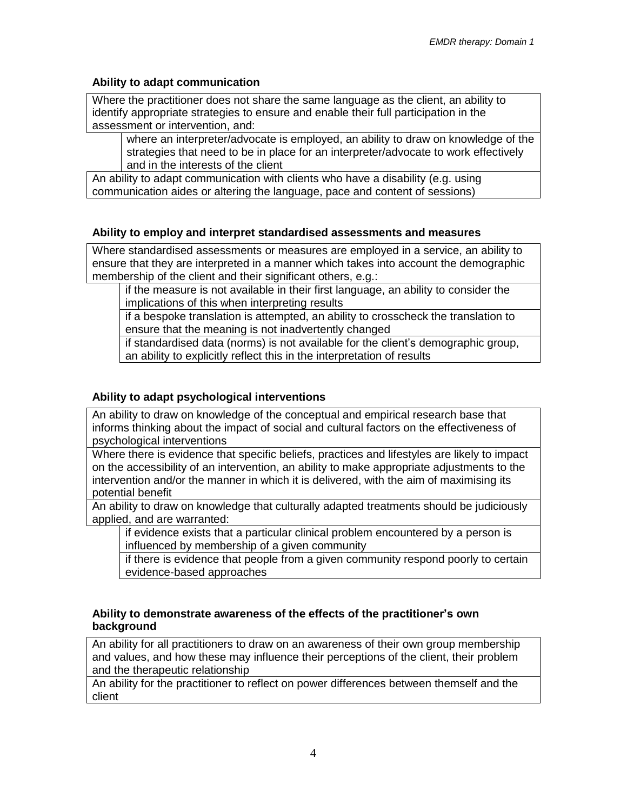# **Ability to adapt communication**

Where the practitioner does not share the same language as the client, an ability to identify appropriate strategies to ensure and enable their full participation in the assessment or intervention, and:

where an interpreter/advocate is employed, an ability to draw on knowledge of the strategies that need to be in place for an interpreter/advocate to work effectively and in the interests of the client

An ability to adapt communication with clients who have a disability (e.g. using communication aides or altering the language, pace and content of sessions)

# **Ability to employ and interpret standardised assessments and measures**

Where standardised assessments or measures are employed in a service, an ability to ensure that they are interpreted in a manner which takes into account the demographic membership of the client and their significant others, e.g.:

if the measure is not available in their first language, an ability to consider the implications of this when interpreting results

if a bespoke translation is attempted, an ability to crosscheck the translation to ensure that the meaning is not inadvertently changed

if standardised data (norms) is not available for the client's demographic group, an ability to explicitly reflect this in the interpretation of results

# **Ability to adapt psychological interventions**

An ability to draw on knowledge of the conceptual and empirical research base that informs thinking about the impact of social and cultural factors on the effectiveness of psychological interventions

Where there is evidence that specific beliefs, practices and lifestyles are likely to impact on the accessibility of an intervention, an ability to make appropriate adjustments to the intervention and/or the manner in which it is delivered, with the aim of maximising its potential benefit

An ability to draw on knowledge that culturally adapted treatments should be judiciously applied, and are warranted:

if evidence exists that a particular clinical problem encountered by a person is influenced by membership of a given community

if there is evidence that people from a given community respond poorly to certain evidence-based approaches

#### **Ability to demonstrate awareness of the effects of the practitioner's own background**

An ability for all practitioners to draw on an awareness of their own group membership and values, and how these may influence their perceptions of the client, their problem and the therapeutic relationship

An ability for the practitioner to reflect on power differences between themself and the client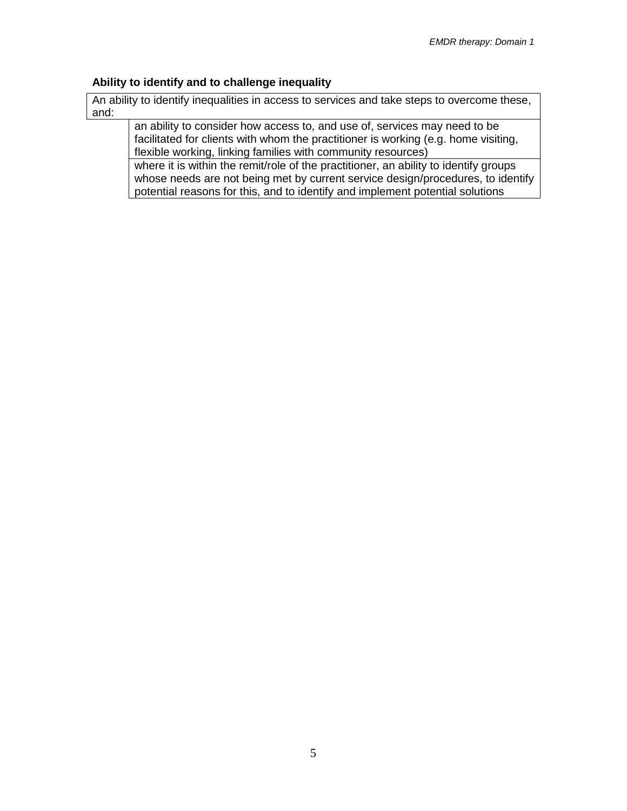#### **Ability to identify and to challenge inequality**

An ability to identify inequalities in access to services and take steps to overcome these, and:

an ability to consider how access to, and use of, services may need to be facilitated for clients with whom the practitioner is working (e.g. home visiting, flexible working, linking families with community resources)

where it is within the remit/role of the practitioner, an ability to identify groups whose needs are not being met by current service design/procedures, to identify potential reasons for this, and to identify and implement potential solutions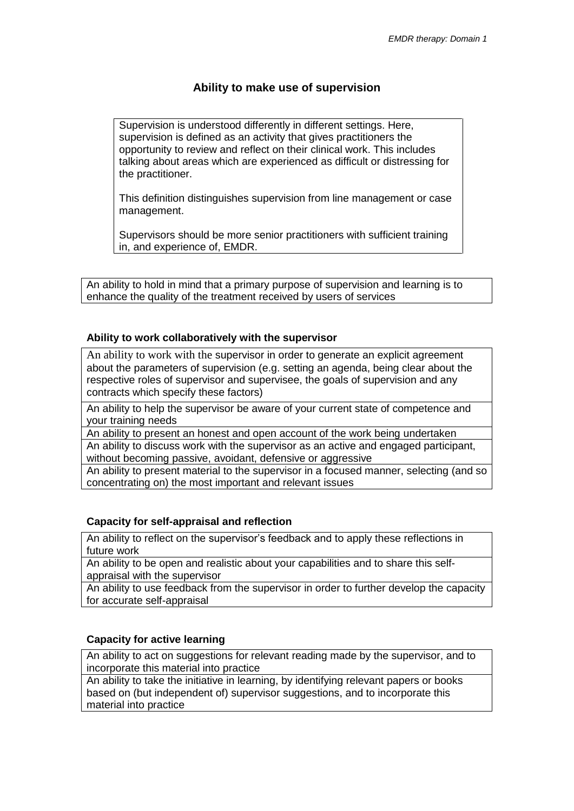# **Ability to make use of supervision**

Supervision is understood differently in different settings. Here, supervision is defined as an activity that gives practitioners the opportunity to review and reflect on their clinical work. This includes talking about areas which are experienced as difficult or distressing for the practitioner.

This definition distinguishes supervision from line management or case management.

Supervisors should be more senior practitioners with sufficient training in, and experience of, EMDR.

An ability to hold in mind that a primary purpose of supervision and learning is to enhance the quality of the treatment received by users of services

#### **Ability to work collaboratively with the supervisor**

An ability to work with the supervisor in order to generate an explicit agreement about the parameters of supervision (e.g. setting an agenda, being clear about the respective roles of supervisor and supervisee, the goals of supervision and any contracts which specify these factors)

An ability to help the supervisor be aware of your current state of competence and your training needs

An ability to present an honest and open account of the work being undertaken

An ability to discuss work with the supervisor as an active and engaged participant, without becoming passive, avoidant, defensive or aggressive

An ability to present material to the supervisor in a focused manner, selecting (and so concentrating on) the most important and relevant issues

# **Capacity for self-appraisal and reflection**

An ability to reflect on the supervisor's feedback and to apply these reflections in future work

An ability to be open and realistic about your capabilities and to share this selfappraisal with the supervisor

An ability to use feedback from the supervisor in order to further develop the capacity for accurate self-appraisal

#### **Capacity for active learning**

An ability to act on suggestions for relevant reading made by the supervisor, and to incorporate this material into practice

An ability to take the initiative in learning, by identifying relevant papers or books based on (but independent of) supervisor suggestions, and to incorporate this material into practice